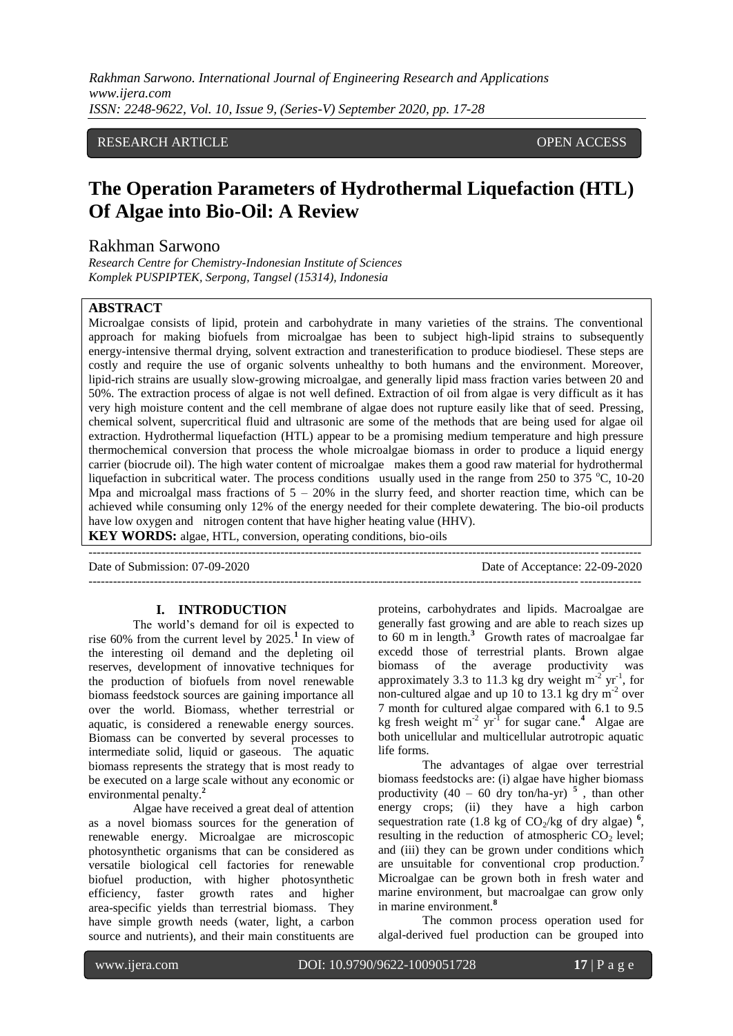*Rakhman Sarwono. International Journal of Engineering Research and Applications www.ijera.com ISSN: 2248-9622, Vol. 10, Issue 9, (Series-V) September 2020, pp. 17-28*

# RESEARCH ARTICLE **CONTRACT ARTICLE** AND ACCESS OPEN ACCESS OPEN ACCESS OF A SALE AND A STRUCK AND A STRUCK A STRUCK A STRUCK AND A STRUCK A STRUCK A STRUCK AND A STRUCK A STRUCK A STRUCK A STRUCK A STRUCK A STRUCK A STRUCK

# **The Operation Parameters of Hydrothermal Liquefaction (HTL) Of Algae into Bio-Oil: A Review**

# Rakhman Sarwono

*Research Centre for Chemistry-Indonesian Institute of Sciences Komplek PUSPIPTEK, Serpong, Tangsel (15314), Indonesia*

#### **ABSTRACT**

Microalgae consists of lipid, protein and carbohydrate in many varieties of the strains. The conventional approach for making biofuels from microalgae has been to subject high-lipid strains to subsequently energy-intensive thermal drying, solvent extraction and tranesterification to produce biodiesel. These steps are costly and require the use of organic solvents unhealthy to both humans and the environment. Moreover, lipid-rich strains are usually slow-growing microalgae, and generally lipid mass fraction varies between 20 and 50%. The extraction process of algae is not well defined. Extraction of oil from algae is very difficult as it has very high moisture content and the cell membrane of algae does not rupture easily like that of seed. Pressing, chemical solvent, supercritical fluid and ultrasonic are some of the methods that are being used for algae oil extraction. Hydrothermal liquefaction (HTL) appear to be a promising medium temperature and high pressure thermochemical conversion that process the whole microalgae biomass in order to produce a liquid energy carrier (biocrude oil). The high water content of microalgae makes them a good raw material for hydrothermal liquefaction in subcritical water. The process conditions usually used in the range from 250 to 375  $^{\circ}$ C, 10-20 Mpa and microalgal mass fractions of  $5 - 20\%$  in the slurry feed, and shorter reaction time, which can be achieved while consuming only 12% of the energy needed for their complete dewatering. The bio-oil products have low oxygen and nitrogen content that have higher heating value (HHV). **KEY WORDS:** algae, HTL, conversion, operating conditions, bio-oils

---------------------------------------------------------------------------------------------------------------------------------------

---------------------------------------------------------------------------------------------------------------------------------------

Date of Submission: 07-09-2020 Date of Acceptance: 22-09-2020

#### **I. INTRODUCTION**

The world's demand for oil is expected to rise  $60\%$  from the current level by  $2025<sup>1</sup>$  In view of the interesting oil demand and the depleting oil reserves, development of innovative techniques for the production of biofuels from novel renewable biomass feedstock sources are gaining importance all over the world. Biomass, whether terrestrial or aquatic, is considered a renewable energy sources. Biomass can be converted by several processes to intermediate solid, liquid or gaseous. The aquatic biomass represents the strategy that is most ready to be executed on a large scale without any economic or environmental penalty.**<sup>2</sup>**

Algae have received a great deal of attention as a novel biomass sources for the generation of renewable energy. Microalgae are microscopic photosynthetic organisms that can be considered as versatile biological cell factories for renewable biofuel production, with higher photosynthetic efficiency, faster growth rates and higher area-specific yields than terrestrial biomass. They have simple growth needs (water, light, a carbon source and nutrients), and their main constituents are

proteins, carbohydrates and lipids. Macroalgae are generally fast growing and are able to reach sizes up to 60 m in length.**<sup>3</sup>** Growth rates of macroalgae far excedd those of terrestrial plants. Brown algae biomass of the average productivity was approximately 3.3 to 11.3 kg dry weight  $m^{-2}$  yr<sup>-1</sup>, for non-cultured algae and up 10 to 13.1 kg dry m<sup>-2</sup> over 7 month for cultured algae compared with 6.1 to 9.5 kg fresh weight  $m^{-2}$  yr<sup>-1</sup> for sugar cane.<sup>4</sup> Algae are both unicellular and multicellular autrotropic aquatic life forms.

The advantages of algae over terrestrial biomass feedstocks are: (i) algae have higher biomass productivity  $(40 - 60)$  dry ton/ha-yr)<sup>5</sup>, than other energy crops; (ii) they have a high carbon sequestration rate  $(1.8 \text{ kg of CO}_2/\text{kg of dry algae})^6$ , resulting in the reduction of atmospheric  $CO<sub>2</sub>$  level; and (iii) they can be grown under conditions which are unsuitable for conventional crop production.**<sup>7</sup>** Microalgae can be grown both in fresh water and marine environment, but macroalgae can grow only in marine environment.**<sup>8</sup>**

The common process operation used for algal-derived fuel production can be grouped into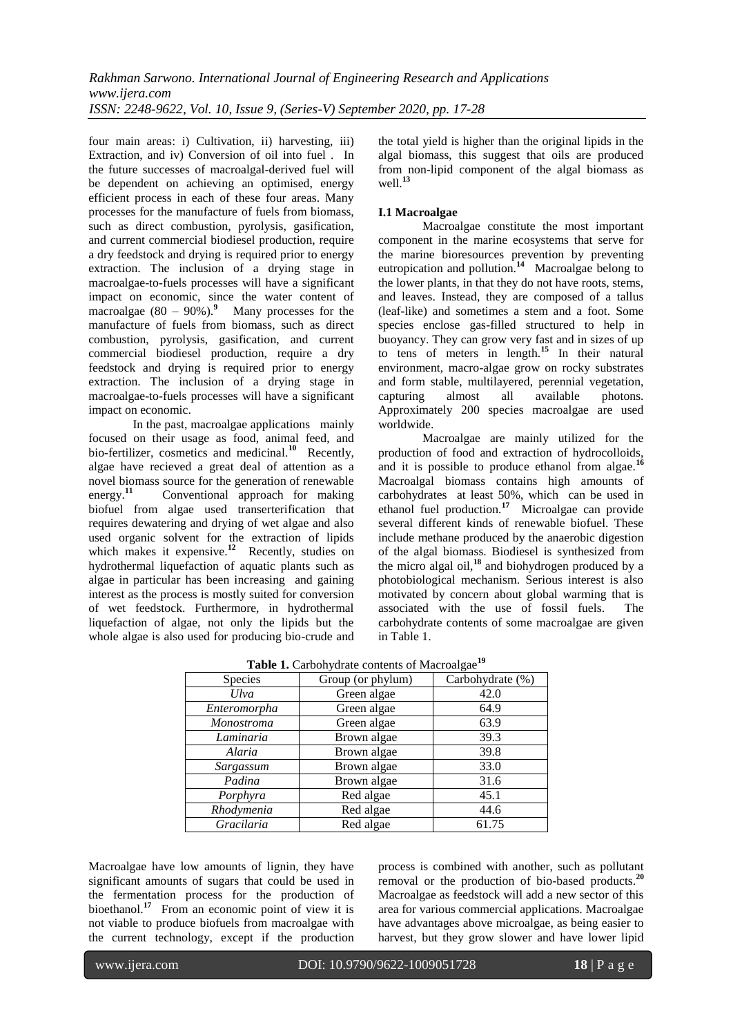four main areas: i) Cultivation, ii) harvesting, iii) Extraction, and iv) Conversion of oil into fuel . In the future successes of macroalgal-derived fuel will be dependent on achieving an optimised, energy efficient process in each of these four areas. Many processes for the manufacture of fuels from biomass, such as direct combustion, pyrolysis, gasification, and current commercial biodiesel production, require a dry feedstock and drying is required prior to energy extraction. The inclusion of a drying stage in macroalgae-to-fuels processes will have a significant impact on economic, since the water content of macroalgae (80 – 90%).**<sup>9</sup>** Many processes for the manufacture of fuels from biomass, such as direct combustion, pyrolysis, gasification, and current commercial biodiesel production, require a dry feedstock and drying is required prior to energy extraction. The inclusion of a drying stage in macroalgae-to-fuels processes will have a significant impact on economic.

In the past, macroalgae applications mainly focused on their usage as food, animal feed, and bio-fertilizer, cosmetics and medicinal.**<sup>10</sup>** Recently, algae have recieved a great deal of attention as a novel biomass source for the generation of renewable energy.**<sup>11</sup>** Conventional approach for making biofuel from algae used transerterification that requires dewatering and drying of wet algae and also used organic solvent for the extraction of lipids which makes it expensive.<sup>12</sup> Recently, studies on hydrothermal liquefaction of aquatic plants such as algae in particular has been increasing and gaining interest as the process is mostly suited for conversion of wet feedstock. Furthermore, in hydrothermal liquefaction of algae, not only the lipids but the whole algae is also used for producing bio-crude and

the total yield is higher than the original lipids in the algal biomass, this suggest that oils are produced from non-lipid component of the algal biomass as well.**<sup>13</sup>**

# **I.1 Macroalgae**

Macroalgae constitute the most important component in the marine ecosystems that serve for the marine bioresources prevention by preventing eutropication and pollution.**<sup>14</sup>** Macroalgae belong to the lower plants, in that they do not have roots, stems, and leaves. Instead, they are composed of a tallus (leaf-like) and sometimes a stem and a foot. Some species enclose gas-filled structured to help in buoyancy. They can grow very fast and in sizes of up to tens of meters in length.**<sup>15</sup>** In their natural environment, macro-algae grow on rocky substrates and form stable, multilayered, perennial vegetation, capturing almost all available photons. Approximately 200 species macroalgae are used worldwide.

Macroalgae are mainly utilized for the production of food and extraction of hydrocolloids, and it is possible to produce ethanol from algae.**<sup>16</sup>** Macroalgal biomass contains high amounts of carbohydrates at least 50%, which can be used in ethanol fuel production.**<sup>17</sup>** Microalgae can provide several different kinds of renewable biofuel. These include methane produced by the anaerobic digestion of the algal biomass. Biodiesel is synthesized from the micro algal oil,**<sup>18</sup>** and biohydrogen produced by a photobiological mechanism. Serious interest is also motivated by concern about global warming that is associated with the use of fossil fuels. The carbohydrate contents of some macroalgae are given in Table 1.

| Species           | Group (or phylum) | Carbohydrate (%) |
|-------------------|-------------------|------------------|
| Ulva              | Green algae       | 42.0             |
| Enteromorpha      | Green algae       | 64.9             |
| <b>Monostroma</b> | Green algae       | 63.9             |
| Laminaria         | Brown algae       | 39.3             |
| Alaria            | Brown algae       | 39.8             |
| Sargassum         | Brown algae       | 33.0             |
| Padina            | Brown algae       | 31.6             |
| Porphyra          | Red algae         | 45.1             |
| Rhodymenia        | Red algae         | 44.6             |
| Gracilaria        | Red algae         | 61.75            |

**Table 1.** Carbohydrate contents of Macroalgae**<sup>19</sup>**

Macroalgae have low amounts of lignin, they have significant amounts of sugars that could be used in the fermentation process for the production of bioethanol.<sup>17</sup> From an economic point of view it is not viable to produce biofuels from macroalgae with the current technology, except if the production

process is combined with another, such as pollutant removal or the production of bio-based products.**<sup>20</sup>** Macroalgae as feedstock will add a new sector of this area for various commercial applications. Macroalgae have advantages above microalgae, as being easier to harvest, but they grow slower and have lower lipid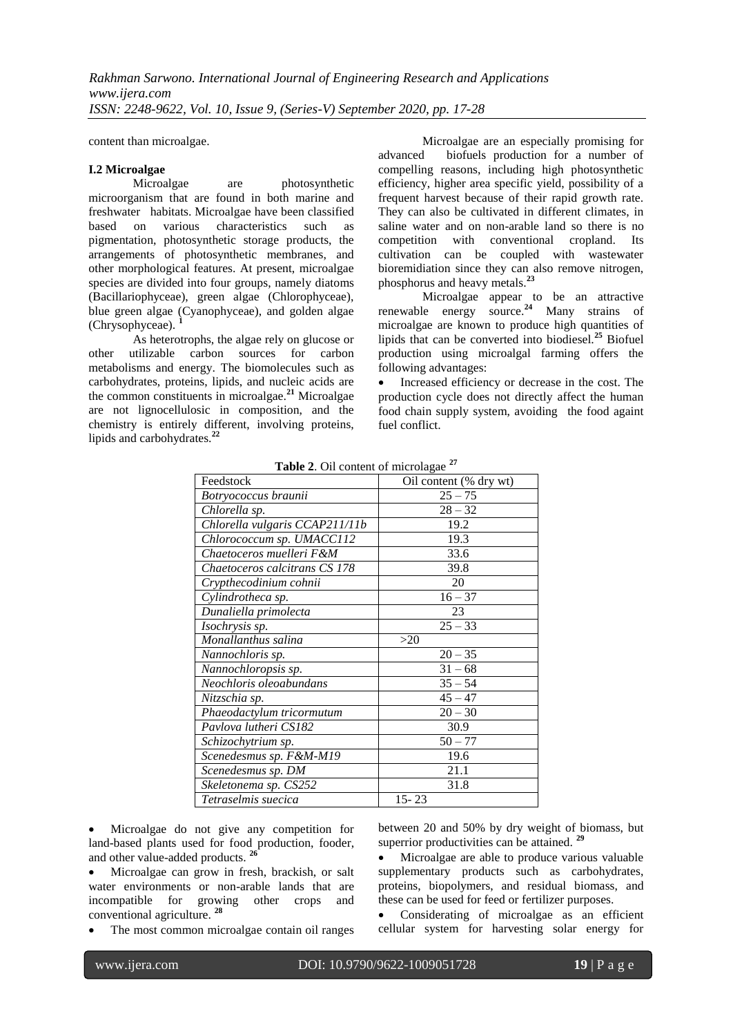content than microalgae.

#### **I.2 Microalgae**

Microalgae are photosynthetic microorganism that are found in both marine and freshwater habitats. Microalgae have been classified<br>based on various characteristics such as based on various characteristics such as pigmentation, photosynthetic storage products, the arrangements of photosynthetic membranes, and other morphological features. At present, microalgae species are divided into four groups, namely diatoms (Bacillariophyceae), green algae (Chlorophyceae), blue green algae (Cyanophyceae), and golden algae (Chrysophyceae). **<sup>1</sup>**

As heterotrophs, the algae rely on glucose or other utilizable carbon sources for carbon metabolisms and energy. The biomolecules such as carbohydrates, proteins, lipids, and nucleic acids are the common constituents in microalgae.**<sup>21</sup>** Microalgae are not lignocellulosic in composition, and the chemistry is entirely different, involving proteins, lipids and carbohydrates.**<sup>22</sup>**

Microalgae are an especially promising for advanced biofuels production for a number of compelling reasons, including high photosynthetic efficiency, higher area specific yield, possibility of a frequent harvest because of their rapid growth rate. They can also be cultivated in different climates, in saline water and on non-arable land so there is no competition with conventional cropland. Its cultivation can be coupled with wastewater bioremidiation since they can also remove nitrogen, phosphorus and heavy metals.**<sup>23</sup>**

Microalgae appear to be an attractive renewable energy source.**<sup>24</sup>** Many strains of microalgae are known to produce high quantities of lipids that can be converted into biodiesel.**<sup>25</sup>** Biofuel production using microalgal farming offers the following advantages:

• Increased efficiency or decrease in the cost. The production cycle does not directly affect the human food chain supply system, avoiding the food againt fuel conflict.

| Feedstock                      | Oil content (% dry wt) |
|--------------------------------|------------------------|
| Botryococcus braunii           | $25 - 75$              |
| Chlorella sp.                  | $28 - 32$              |
| Chlorella vulgaris CCAP211/11b | 19.2                   |
| Chlorococcum sp. UMACC112      | 19.3                   |
| Chaetoceros muelleri F&M       | 33.6                   |
| Chaetoceros calcitrans CS 178  | 39.8                   |
| Crypthecodinium cohnii         | 20                     |
| Cylindrotheca sp.              | $16 - 37$              |
| Dunaliella primolecta          | 23                     |
| Isochrysis sp.                 | $25 - 33$              |
| Monallanthus salina            | >20                    |
| Nannochloris sp.               | $20 - 35$              |
| Nannochloropsis sp.            | $31 - 68$              |
| $N$ eochloris oleoabundans     | $35 - 54$              |
| Nitzschia sp.                  | $45 - 47$              |
| Phaeodactylum tricormutum      | $20 - 30$              |
| Pavlova lutheri CS182          | 30.9                   |
| Schizochytrium sp.             | $50 - 77$              |
| Scenedesmus sp. F&M-M19        | 19.6                   |
| Scenedesmus sp. DM             | 21.1                   |
| Skeletonema sp. CS252          | 31.8                   |
| Tetraselmis suecica            | $15 - 23$              |

**Table 2**. Oil content of microlagae **<sup>27</sup>**

 Microalgae do not give any competition for land-based plants used for food production, fooder, and other value-added products. **<sup>26</sup>**

 Microalgae can grow in fresh, brackish, or salt water environments or non-arable lands that are incompatible for growing other crops and conventional agriculture. **<sup>28</sup>**

The most common microalgae contain oil ranges

between 20 and 50% by dry weight of biomass, but superrior productivities can be attained. **<sup>29</sup>**

 Microalgae are able to produce various valuable supplementary products such as carbohydrates, proteins, biopolymers, and residual biomass, and these can be used for feed or fertilizer purposes.

 Considerating of microalgae as an efficient cellular system for harvesting solar energy for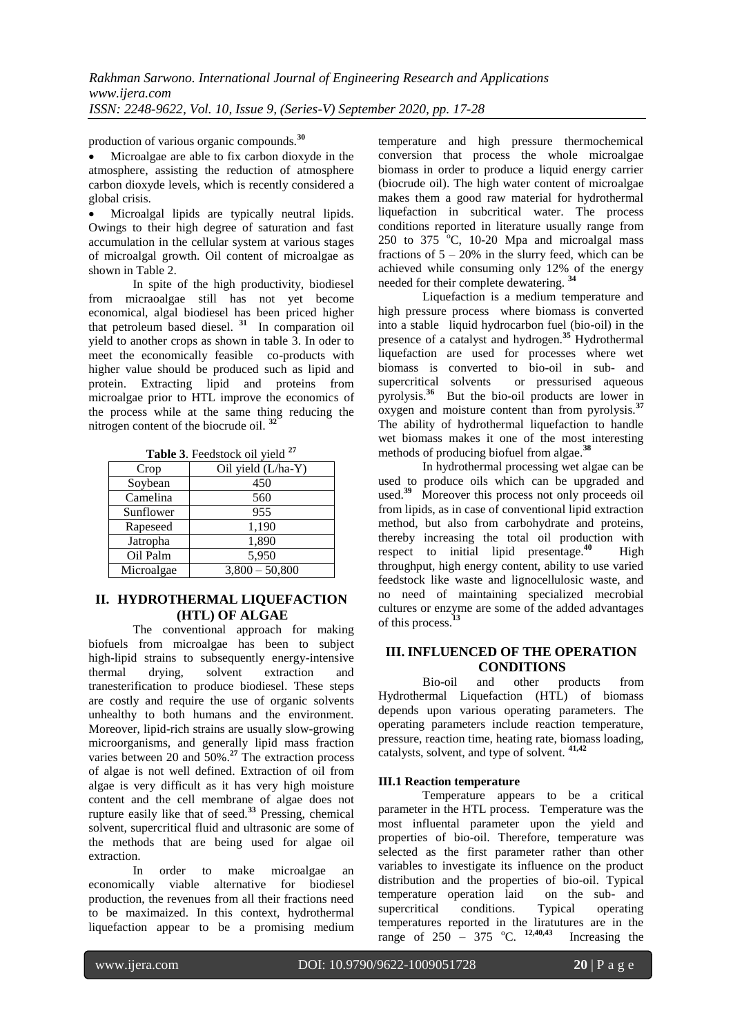production of various organic compounds.**<sup>30</sup>**

 Microalgae are able to fix carbon dioxyde in the atmosphere, assisting the reduction of atmosphere carbon dioxyde levels, which is recently considered a global crisis.

 Microalgal lipids are typically neutral lipids. Owings to their high degree of saturation and fast accumulation in the cellular system at various stages of microalgal growth. Oil content of microalgae as shown in Table 2.

In spite of the high productivity, biodiesel from micraoalgae still has not yet become economical, algal biodiesel has been priced higher that petroleum based diesel. **<sup>31</sup>** In comparation oil yield to another crops as shown in table 3. In oder to meet the economically feasible co-products with higher value should be produced such as lipid and protein. Extracting lipid and proteins from microalgae prior to HTL improve the economics of the process while at the same thing reducing the nitrogen content of the biocrude oil. **<sup>32</sup>**

| <b>Table 9.</b> I constock on yield |                    |  |
|-------------------------------------|--------------------|--|
| Crop                                | Oil yield (L/ha-Y) |  |
| Soybean                             | 450                |  |
| Camelina                            | 560                |  |
| Sunflower                           | 955                |  |
| Rapeseed                            | 1,190              |  |
| Jatropha                            | 1,890              |  |
| Oil Palm                            | 5,950              |  |
| Microalgae                          | $3,800 - 50,800$   |  |

**Table 3**. Feedstock oil yield **<sup>27</sup>**

# **II. HYDROTHERMAL LIQUEFACTION (HTL) OF ALGAE**

The conventional approach for making biofuels from microalgae has been to subject high-lipid strains to subsequently energy-intensive thermal drying, solvent extraction and tranesterification to produce biodiesel. These steps are costly and require the use of organic solvents unhealthy to both humans and the environment. Moreover, lipid-rich strains are usually slow-growing microorganisms, and generally lipid mass fraction varies between 20 and 50%.**<sup>27</sup>** The extraction process of algae is not well defined. Extraction of oil from algae is very difficult as it has very high moisture content and the cell membrane of algae does not rupture easily like that of seed.**<sup>33</sup>** Pressing, chemical solvent, supercritical fluid and ultrasonic are some of the methods that are being used for algae oil extraction.

In order to make microalgae an economically viable alternative for biodiesel production, the revenues from all their fractions need to be maximaized. In this context, hydrothermal liquefaction appear to be a promising medium

temperature and high pressure thermochemical conversion that process the whole microalgae biomass in order to produce a liquid energy carrier (biocrude oil). The high water content of microalgae makes them a good raw material for hydrothermal liquefaction in subcritical water. The process conditions reported in literature usually range from 250 to  $375$  °C, 10-20 Mpa and microalgal mass fractions of  $5 - 20\%$  in the slurry feed, which can be achieved while consuming only 12% of the energy needed for their complete dewatering. **<sup>34</sup>**

Liquefaction is a medium temperature and high pressure process where biomass is converted into a stable liquid hydrocarbon fuel (bio-oil) in the presence of a catalyst and hydrogen.**<sup>35</sup>** Hydrothermal liquefaction are used for processes where wet biomass is converted to bio-oil in sub- and supercritical solvents or pressurised aqueous pyrolysis.**<sup>36</sup>** But the bio-oil products are lower in oxygen and moisture content than from pyrolysis.**<sup>37</sup>** The ability of hydrothermal liquefaction to handle wet biomass makes it one of the most interesting methods of producing biofuel from algae.**<sup>38</sup>**

In hydrothermal processing wet algae can be used to produce oils which can be upgraded and used.<sup>39</sup> Moreover this process not only proceeds oil from lipids, as in case of conventional lipid extraction method, but also from carbohydrate and proteins, thereby increasing the total oil production with respect to initial lipid presentage.**<sup>40</sup>** High throughput, high energy content, ability to use varied feedstock like waste and lignocellulosic waste, and no need of maintaining specialized mecrobial cultures or enzyme are some of the added advantages of this process.**<sup>13</sup>**

# **III. INFLUENCED OF THE OPERATION CONDITIONS**

Bio-oil and other products from Hydrothermal Liquefaction (HTL) of biomass depends upon various operating parameters. The operating parameters include reaction temperature, pressure, reaction time, heating rate, biomass loading, catalysts, solvent, and type of solvent. **41,42**

# **III.1 Reaction temperature**

Temperature appears to be a critical parameter in the HTL process. Temperature was the most influental parameter upon the yield and properties of bio-oil. Therefore, temperature was selected as the first parameter rather than other variables to investigate its influence on the product distribution and the properties of bio-oil. Typical temperature operation laid on the sub- and supercritical conditions. Typical operating temperatures reported in the liratutures are in the range of 250 – 375 °C. <sup>12,40,43</sup> Increasing the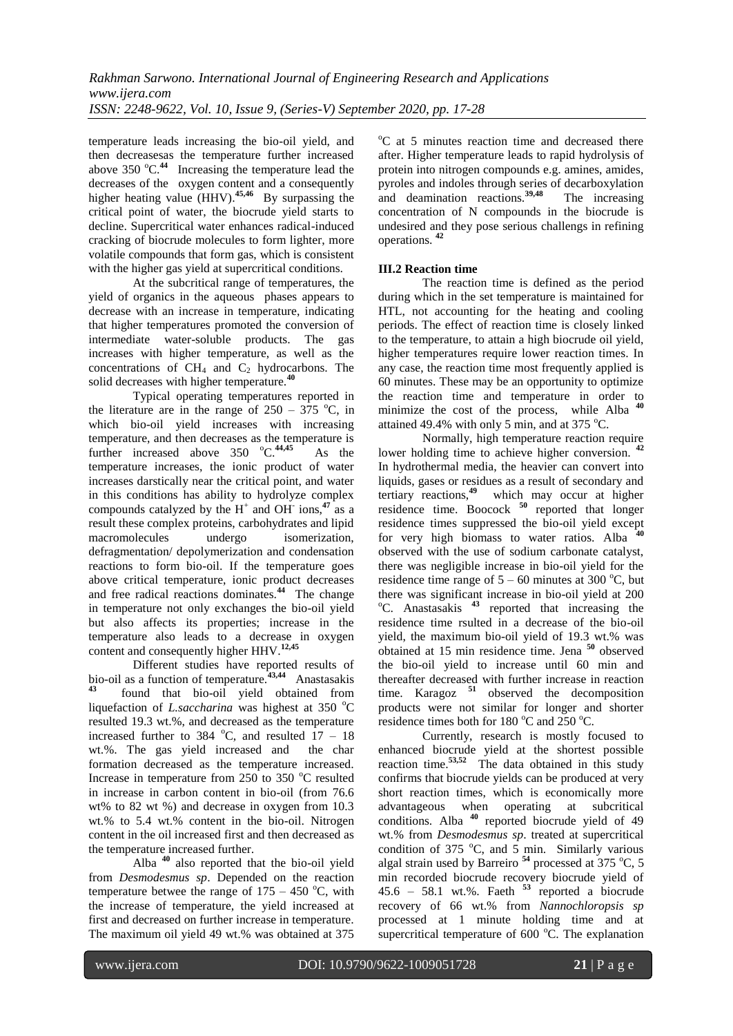temperature leads increasing the bio-oil yield, and then decreasesas the temperature further increased above  $350 \, \text{°C}$ .<sup>44</sup> Increasing the temperature lead the decreases of the oxygen content and a consequently higher heating value (HHV).**45,46** By surpassing the critical point of water, the biocrude yield starts to decline. Supercritical water enhances radical-induced cracking of biocrude molecules to form lighter, more volatile compounds that form gas, which is consistent with the higher gas yield at supercritical conditions.

At the subcritical range of temperatures, the yield of organics in the aqueous phases appears to decrease with an increase in temperature, indicating that higher temperatures promoted the conversion of intermediate water-soluble products. The gas increases with higher temperature, as well as the concentrations of  $CH_4$  and  $C_2$  hydrocarbons. The solid decreases with higher temperature.**<sup>40</sup>**

Typical operating temperatures reported in the literature are in the range of  $250 - 375$  °C, in which bio-oil yield increases with increasing temperature, and then decreases as the temperature is further increased above 350 °C.<sup>44,45</sup> As the temperature increases, the ionic product of water increases darstically near the critical point, and water in this conditions has ability to hydrolyze complex compounds catalyzed by the  $H^+$  and OH<sup>-</sup> ions,<sup>47</sup> as a result these complex proteins, carbohydrates and lipid macromolecules undergo isomerization, defragmentation/ depolymerization and condensation reactions to form bio-oil. If the temperature goes above critical temperature, ionic product decreases and free radical reactions dominates.**<sup>44</sup>** The change in temperature not only exchanges the bio-oil yield but also affects its properties; increase in the temperature also leads to a decrease in oxygen content and consequently higher HHV.**12,45**

Different studies have reported results of bio-oil as a function of temperature.**43,44** Anastasakis **43** found that bio-oil yield obtained from liquefaction of *L.saccharina* was highest at  $350^{\circ}$ C resulted 19.3 wt.%, and decreased as the temperature increased further to 384  $^{\circ}$ C, and resulted 17 – 18 wt.%. The gas yield increased and the char formation decreased as the temperature increased. Increase in temperature from  $250$  to  $350$  °C resulted in increase in carbon content in bio-oil (from 76.6 wt% to 82 wt %) and decrease in oxygen from 10.3 wt.% to 5.4 wt.% content in the bio-oil. Nitrogen content in the oil increased first and then decreased as the temperature increased further.

Alba **<sup>40</sup>** also reported that the bio-oil yield from *Desmodesmus sp*. Depended on the reaction temperature betwee the range of  $175 - 450$  °C, with the increase of temperature, the yield increased at first and decreased on further increase in temperature. The maximum oil yield 49 wt.% was obtained at 375

 $\rm{^{\circ}C}$  at 5 minutes reaction time and decreased there after. Higher temperature leads to rapid hydrolysis of protein into nitrogen compounds e.g. amines, amides, pyroles and indoles through series of decarboxylation and deamination reactions.**39,48** The increasing concentration of N compounds in the biocrude is undesired and they pose serious challengs in refining operations. **<sup>42</sup>**

# **III.2 Reaction time**

The reaction time is defined as the period during which in the set temperature is maintained for HTL, not accounting for the heating and cooling periods. The effect of reaction time is closely linked to the temperature, to attain a high biocrude oil yield, higher temperatures require lower reaction times. In any case, the reaction time most frequently applied is 60 minutes. These may be an opportunity to optimize the reaction time and temperature in order to minimize the cost of the process, while Alba<sup>4</sup> attained 49.4% with only 5 min, and at 375  $^{\circ}$ C.

Normally, high temperature reaction require lower holding time to achieve higher conversion. **<sup>42</sup>** In hydrothermal media, the heavier can convert into liquids, gases or residues as a result of secondary and tertiary reactions,**<sup>49</sup>** which may occur at higher residence time. Boocock **<sup>50</sup>** reported that longer residence times suppressed the bio-oil yield except for very high biomass to water ratios. Alba  $\overline{a}$ observed with the use of sodium carbonate catalyst, there was negligible increase in bio-oil yield for the residence time range of  $5 - 60$  minutes at 300 °C, but there was significant increase in bio-oil yield at 200 <sup>o</sup>C. Anastasakis<sup>43</sup> reported that increasing the residence time rsulted in a decrease of the bio-oil yield, the maximum bio-oil yield of 19.3 wt.% was obtained at 15 min residence time. Jena **<sup>50</sup>** observed the bio-oil yield to increase until 60 min and thereafter decreased with further increase in reaction time. Karagoz **<sup>51</sup>** observed the decomposition products were not similar for longer and shorter residence times both for 180  $^{\circ}$ C and 250  $^{\circ}$ C.

Currently, research is mostly focused to enhanced biocrude yield at the shortest possible reaction time.**53,52** The data obtained in this study confirms that biocrude yields can be produced at very short reaction times, which is economically more advantageous when operating at subcritical conditions. Alba **<sup>40</sup>** reported biocrude yield of 49 wt.% from *Desmodesmus sp*. treated at supercritical condition of 375 °C, and  $\bar{5}$  min. Similarly various algal strain used by Barreiro <sup>54</sup> processed at 375 °C, 5<sup>4</sup> min recorded biocrude recovery biocrude yield of 45.6 – 58.1 wt.%. Faeth **<sup>53</sup>** reported a biocrude recovery of 66 wt.% from *Nannochloropsis sp* processed at 1 minute holding time and at supercritical temperature of  $600^{\circ}$ C. The explanation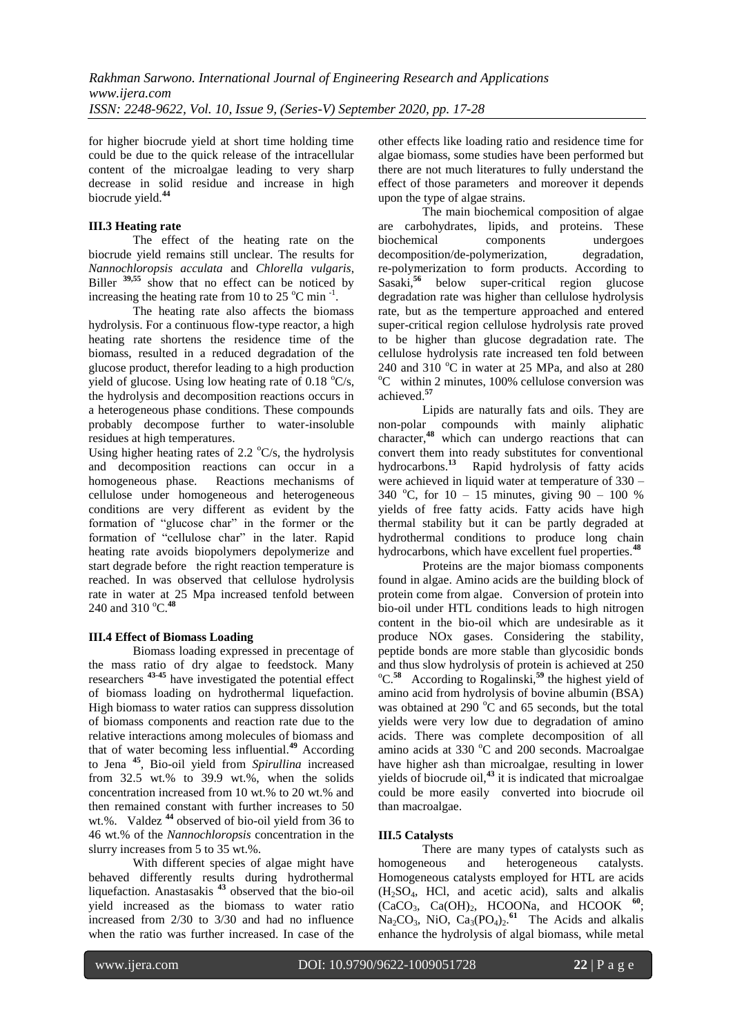for higher biocrude yield at short time holding time could be due to the quick release of the intracellular content of the microalgae leading to very sharp decrease in solid residue and increase in high biocrude yield.**<sup>44</sup>**

# **III.3 Heating rate**

The effect of the heating rate on the biocrude yield remains still unclear. The results for *Nannochloropsis acculata* and *Chlorella vulgaris*, Biller  $\frac{39,55}{9}$  show that no effect can be noticed by increasing the heating rate from 10 to 25  $^{\circ}$ C min<sup>-1</sup>.

The heating rate also affects the biomass hydrolysis. For a continuous flow-type reactor, a high heating rate shortens the residence time of the biomass, resulted in a reduced degradation of the glucose product, therefor leading to a high production yield of glucose. Using low heating rate of 0.18  $\textdegree$ C/s, the hydrolysis and decomposition reactions occurs in a heterogeneous phase conditions. These compounds probably decompose further to water-insoluble residues at high temperatures.

Using higher heating rates of 2.2  $\textdegree$ C/s, the hydrolysis and decomposition reactions can occur in a homogeneous phase. Reactions mechanisms of cellulose under homogeneous and heterogeneous conditions are very different as evident by the formation of "glucose char" in the former or the formation of "cellulose char" in the later. Rapid heating rate avoids biopolymers depolymerize and start degrade before the right reaction temperature is reached. In was observed that cellulose hydrolysis rate in water at 25 Mpa increased tenfold between 240 and 310 °C.<sup>48</sup>

# **III.4 Effect of Biomass Loading**

Biomass loading expressed in precentage of the mass ratio of dry algae to feedstock. Many researchers **43-45** have investigated the potential effect of biomass loading on hydrothermal liquefaction. High biomass to water ratios can suppress dissolution of biomass components and reaction rate due to the relative interactions among molecules of biomass and that of water becoming less influential.**<sup>49</sup>** According to Jena **<sup>45</sup>**, Bio-oil yield from *Spirullina* increased from 32.5 wt.% to 39.9 wt.%, when the solids concentration increased from 10 wt.% to 20 wt.% and then remained constant with further increases to 50 wt.%. Valdez **<sup>44</sup>** observed of bio-oil yield from 36 to 46 wt.% of the *Nannochloropsis* concentration in the slurry increases from 5 to 35 wt.%.

With different species of algae might have behaved differently results during hydrothermal liquefaction. Anastasakis **<sup>43</sup>** observed that the bio-oil yield increased as the biomass to water ratio increased from 2/30 to 3/30 and had no influence when the ratio was further increased. In case of the

other effects like loading ratio and residence time for algae biomass, some studies have been performed but there are not much literatures to fully understand the effect of those parameters and moreover it depends upon the type of algae strains.

The main biochemical composition of algae are carbohydrates, lipids, and proteins. These biochemical components undergoes decomposition/de-polymerization, degradation, re-polymerization to form products. According to Sasaki,**<sup>56</sup>** below super-critical region glucose degradation rate was higher than cellulose hydrolysis rate, but as the temperture approached and entered super-critical region cellulose hydrolysis rate proved to be higher than glucose degradation rate. The cellulose hydrolysis rate increased ten fold between 240 and 310  $^{\circ}$ C in water at 25 MPa, and also at 280  $\degree$ C within 2 minutes, 100% cellulose conversion was achieved.**<sup>57</sup>**

Lipids are naturally fats and oils. They are non-polar compounds with mainly aliphatic character,**<sup>48</sup>** which can undergo reactions that can convert them into ready substitutes for conventional hydrocarbons.**<sup>13</sup>** Rapid hydrolysis of fatty acids were achieved in liquid water at temperature of 330 – 340 °C, for  $10 - 15$  minutes, giving  $90 - 100$  % yields of free fatty acids. Fatty acids have high thermal stability but it can be partly degraded at hydrothermal conditions to produce long chain hydrocarbons, which have excellent fuel properties.**<sup>48</sup>**

Proteins are the major biomass components found in algae. Amino acids are the building block of protein come from algae. Conversion of protein into bio-oil under HTL conditions leads to high nitrogen content in the bio-oil which are undesirable as it produce NOx gases. Considering the stability, peptide bonds are more stable than glycosidic bonds and thus slow hydrolysis of protein is achieved at 250 <sup>o</sup>C.<sup>58</sup> According to Rogalinski,<sup>59</sup> the highest yield of amino acid from hydrolysis of bovine albumin (BSA) was obtained at 290  $^{\circ}$ C and 65 seconds, but the total yields were very low due to degradation of amino acids. There was complete decomposition of all amino acids at  $330\text{ °C}$  and  $200$  seconds. Macroalgae have higher ash than microalgae, resulting in lower yields of biocrude oil,**<sup>43</sup>** it is indicated that microalgae could be more easily converted into biocrude oil than macroalgae.

# **III.5 Catalysts**

There are many types of catalysts such as homogeneous and heterogeneous catalysts. Homogeneous catalysts employed for HTL are acids (H2SO4, HCl, and acetic acid), salts and alkalis (CaCO3, Ca(OH)2, HCOONa, and HCOOK **<sup>60</sup>**;  $Na_2CO_3$ , NiO,  $Ca_3(PO_4)_2$ .<sup>61</sup> The Acids and alkalis enhance the hydrolysis of algal biomass, while metal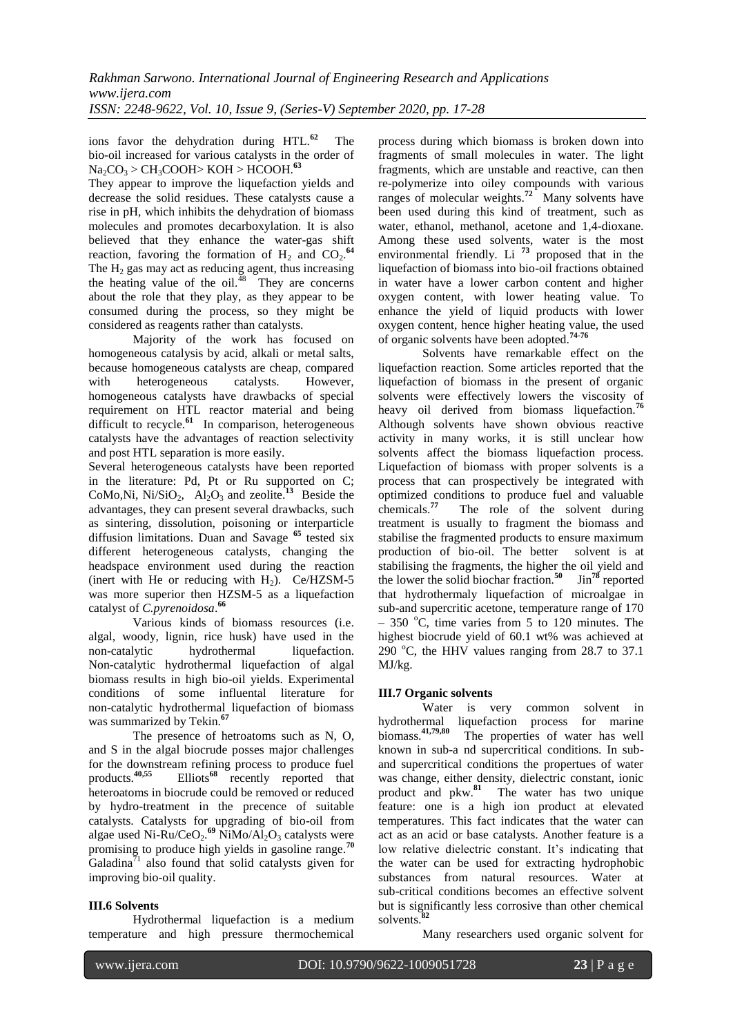ions favor the dehydration during HTL.**<sup>62</sup>** The bio-oil increased for various catalysts in the order of Na2CO<sup>3</sup> > CH3COOH> KOH > HCOOH.**<sup>63</sup>**

They appear to improve the liquefaction yields and decrease the solid residues. These catalysts cause a rise in pH, which inhibits the dehydration of biomass molecules and promotes decarboxylation. It is also believed that they enhance the water-gas shift reaction, favoring the formation of  $H_2$  and  $CO_2$ .<sup>64</sup> The  $H_2$  gas may act as reducing agent, thus increasing the heating value of the oil. $48$  They are concerns about the role that they play, as they appear to be consumed during the process, so they might be considered as reagents rather than catalysts.

Majority of the work has focused on homogeneous catalysis by acid, alkali or metal salts, because homogeneous catalysts are cheap, compared with heterogeneous catalysts. However, homogeneous catalysts have drawbacks of special requirement on HTL reactor material and being difficult to recycle.<sup>61</sup> In comparison, heterogeneous catalysts have the advantages of reaction selectivity and post HTL separation is more easily.

Several heterogeneous catalysts have been reported in the literature: Pd, Pt or Ru supported on C; CoMo,Ni, Ni/SiO<sub>2</sub>, Al<sub>2</sub>O<sub>3</sub> and zeolite.<sup>13</sup> Beside the advantages, they can present several drawbacks, such as sintering, dissolution, poisoning or interparticle diffusion limitations. Duan and Savage **<sup>65</sup>** tested six different heterogeneous catalysts, changing the headspace environment used during the reaction (inert with He or reducing with  $H_2$ ). Ce/HZSM-5 was more superior then HZSM-5 as a liquefaction catalyst of *C.pyrenoidosa*. **66**

Various kinds of biomass resources (i.e. algal, woody, lignin, rice husk) have used in the non-catalytic hydrothermal liquefaction. Non-catalytic hydrothermal liquefaction of algal biomass results in high bio-oil yields. Experimental conditions of some influental literature for non-catalytic hydrothermal liquefaction of biomass was summarized by Tekin.**<sup>67</sup>**

The presence of hetroatoms such as N, O, and S in the algal biocrude posses major challenges for the downstream refining process to produce fuel products.**40,55** Elliots**<sup>68</sup>** recently reported that heteroatoms in biocrude could be removed or reduced by hydro-treatment in the precence of suitable catalysts. Catalysts for upgrading of bio-oil from algae used Ni-Ru/CeO<sub>2</sub>.<sup>69</sup> NiMo/Al<sub>2</sub>O<sub>3</sub> catalysts were promising to produce high yields in gasoline range.**<sup>70</sup>**  $Galadian<sup>71</sup>$  also found that solid catalysts given for improving bio-oil quality.

# **III.6 Solvents**

Hydrothermal liquefaction is a medium temperature and high pressure thermochemical

process during which biomass is broken down into fragments of small molecules in water. The light fragments, which are unstable and reactive, can then re-polymerize into oiley compounds with various ranges of molecular weights.**<sup>72</sup>** Many solvents have been used during this kind of treatment, such as water, ethanol, methanol, acetone and 1,4-dioxane. Among these used solvents, water is the most environmental friendly. Li **<sup>73</sup>** proposed that in the liquefaction of biomass into bio-oil fractions obtained in water have a lower carbon content and higher oxygen content, with lower heating value. To enhance the yield of liquid products with lower oxygen content, hence higher heating value, the used of organic solvents have been adopted.**74-76**

Solvents have remarkable effect on the liquefaction reaction. Some articles reported that the liquefaction of biomass in the present of organic solvents were effectively lowers the viscosity of heavy oil derived from biomass liquefaction.**<sup>76</sup>** Although solvents have shown obvious reactive activity in many works, it is still unclear how solvents affect the biomass liquefaction process. Liquefaction of biomass with proper solvents is a process that can prospectively be integrated with optimized conditions to produce fuel and valuable chemicals.**<sup>77</sup>** The role of the solvent during treatment is usually to fragment the biomass and stabilise the fragmented products to ensure maximum production of bio-oil. The better solvent is at stabilising the fragments, the higher the oil yield and the lower the solid biochar fraction.**<sup>50</sup>** Jin**<sup>78</sup>** reported that hydrothermaly liquefaction of microalgae in sub-and supercritic acetone, temperature range of 170 – 350  $^{\circ}$ C, time varies from 5 to 120 minutes. The highest biocrude yield of 60.1 wt% was achieved at 290  $^{\circ}$ C, the HHV values ranging from 28.7 to 37.1 MJ/kg.

# **III.7 Organic solvents**

Water is very common solvent in hydrothermal liquefaction process for marine biomass.**41,79,80** The properties of water has well known in sub-a nd supercritical conditions. In suband supercritical conditions the propertues of water was change, either density, dielectric constant, ionic product and pkw.**<sup>81</sup>** The water has two unique feature: one is a high ion product at elevated temperatures. This fact indicates that the water can act as an acid or base catalysts. Another feature is a low relative dielectric constant. It's indicating that the water can be used for extracting hydrophobic substances from natural resources. Water at sub-critical conditions becomes an effective solvent but is significantly less corrosive than other chemical solvents.<sup>8</sup>

Many researchers used organic solvent for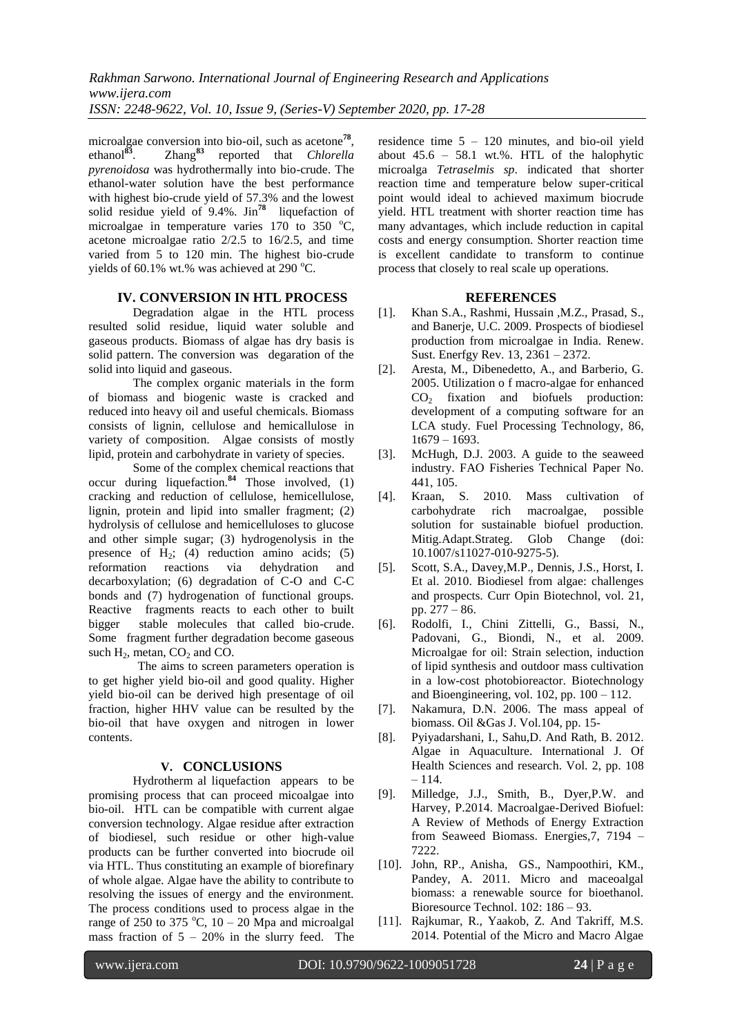microalgae conversion into bio-oil, such as acetone**<sup>78</sup>** , ethanol**<sup>83</sup>**. Zhang**<sup>83</sup>** reported that *Chlorella pyrenoidosa* was hydrothermally into bio-crude. The ethanol-water solution have the best performance with highest bio-crude yield of 57.3% and the lowest solid residue yield of 9.4%. Jin**<sup>78</sup>** liquefaction of microalgae in temperature varies  $170$  to  $350$  °C, acetone microalgae ratio 2/2.5 to 16/2.5, and time varied from 5 to 120 min. The highest bio-crude yields of 60.1% wt.% was achieved at 290  $^{\circ}$ C.

# **IV. CONVERSION IN HTL PROCESS**

Degradation algae in the HTL process resulted solid residue, liquid water soluble and gaseous products. Biomass of algae has dry basis is solid pattern. The conversion was degaration of the solid into liquid and gaseous.

The complex organic materials in the form of biomass and biogenic waste is cracked and reduced into heavy oil and useful chemicals. Biomass consists of lignin, cellulose and hemicallulose in variety of composition. Algae consists of mostly lipid, protein and carbohydrate in variety of species.

Some of the complex chemical reactions that occur during liquefaction.**<sup>84</sup>** Those involved, (1) cracking and reduction of cellulose, hemicellulose, lignin, protein and lipid into smaller fragment; (2) hydrolysis of cellulose and hemicelluloses to glucose and other simple sugar; (3) hydrogenolysis in the presence of  $H_2$ ; (4) reduction amino acids; (5) reformation reactions via dehydration and reformation reactions via dehydration and decarboxylation; (6) degradation of C-O and C-C bonds and (7) hydrogenation of functional groups. Reactive fragments reacts to each other to built bigger stable molecules that called bio-crude. Some fragment further degradation become gaseous such  $H_2$ , metan,  $CO_2$  and  $CO$ .

The aims to screen parameters operation is to get higher yield bio-oil and good quality. Higher yield bio-oil can be derived high presentage of oil fraction, higher HHV value can be resulted by the bio-oil that have oxygen and nitrogen in lower contents.

# **V. CONCLUSIONS**

Hydrotherm al liquefaction appears to be promising process that can proceed micoalgae into bio-oil. HTL can be compatible with current algae conversion technology. Algae residue after extraction of biodiesel, such residue or other high-value products can be further converted into biocrude oil via HTL. Thus constituting an example of biorefinary of whole algae. Algae have the ability to contribute to resolving the issues of energy and the environment. The process conditions used to process algae in the range of 250 to 375  $^{\circ}$ C, 10 – 20 Mpa and microalgal mass fraction of  $5 - 20\%$  in the slurry feed. The

residence time  $5 - 120$  minutes, and bio-oil yield about  $45.6 - 58.1$  wt.%. HTL of the halophytic microalga *Tetraselmis sp*. indicated that shorter reaction time and temperature below super-critical point would ideal to achieved maximum biocrude yield. HTL treatment with shorter reaction time has many advantages, which include reduction in capital costs and energy consumption. Shorter reaction time is excellent candidate to transform to continue process that closely to real scale up operations.

# **REFERENCES**

- [1]. Khan S.A., Rashmi, Hussain ,M.Z., Prasad, S., and Banerje, U.C. 2009. Prospects of biodiesel production from microalgae in India. Renew. Sust. Enerfgy Rev. 13, 2361 – 2372.
- [2]. Aresta, M., Dibenedetto, A., and Barberio, G. 2005. Utilization o f macro-algae for enhanced  $CO<sub>2</sub>$  fixation and biofuels production: development of a computing software for an LCA study. Fuel Processing Technology, 86, 1t679 – 1693.
- [3]. McHugh, D.J. 2003. A guide to the seaweed industry. FAO Fisheries Technical Paper No. 441, 105.
- [4]. Kraan, S. 2010. Mass cultivation of carbohydrate rich macroalgae, possible solution for sustainable biofuel production. Mitig.Adapt.Strateg. Glob Change (doi: 10.1007/s11027-010-9275-5).
- [5]. Scott, S.A., Davey,M.P., Dennis, J.S., Horst, I. Et al. 2010. Biodiesel from algae: challenges and prospects. Curr Opin Biotechnol, vol. 21, pp. 277 – 86.
- [6]. Rodolfi, I., Chini Zittelli, G., Bassi, N., Padovani, G., Biondi, N., et al. 2009. Microalgae for oil: Strain selection, induction of lipid synthesis and outdoor mass cultivation in a low-cost photobioreactor. Biotechnology and Bioengineering, vol.  $102$ , pp.  $100 - 112$ .
- [7]. Nakamura, D.N. 2006. The mass appeal of biomass. Oil &Gas J. Vol.104, pp. 15-
- [8]. Pyiyadarshani, I., Sahu,D. And Rath, B. 2012. Algae in Aquaculture. International J. Of Health Sciences and research. Vol. 2, pp. 108 – 114.
- [9]. Milledge, J.J., Smith, B., Dyer,P.W. and Harvey, P.2014. Macroalgae-Derived Biofuel: A Review of Methods of Energy Extraction from Seaweed Biomass. Energies,7, 7194 – 7222.
- [10]. John, RP., Anisha, GS., Nampoothiri, KM., Pandey, A. 2011. Micro and maceoalgal biomass: a renewable source for bioethanol. Bioresource Technol. 102: 186 – 93.
- [11]. Rajkumar, R., Yaakob, Z. And Takriff, M.S. 2014. Potential of the Micro and Macro Algae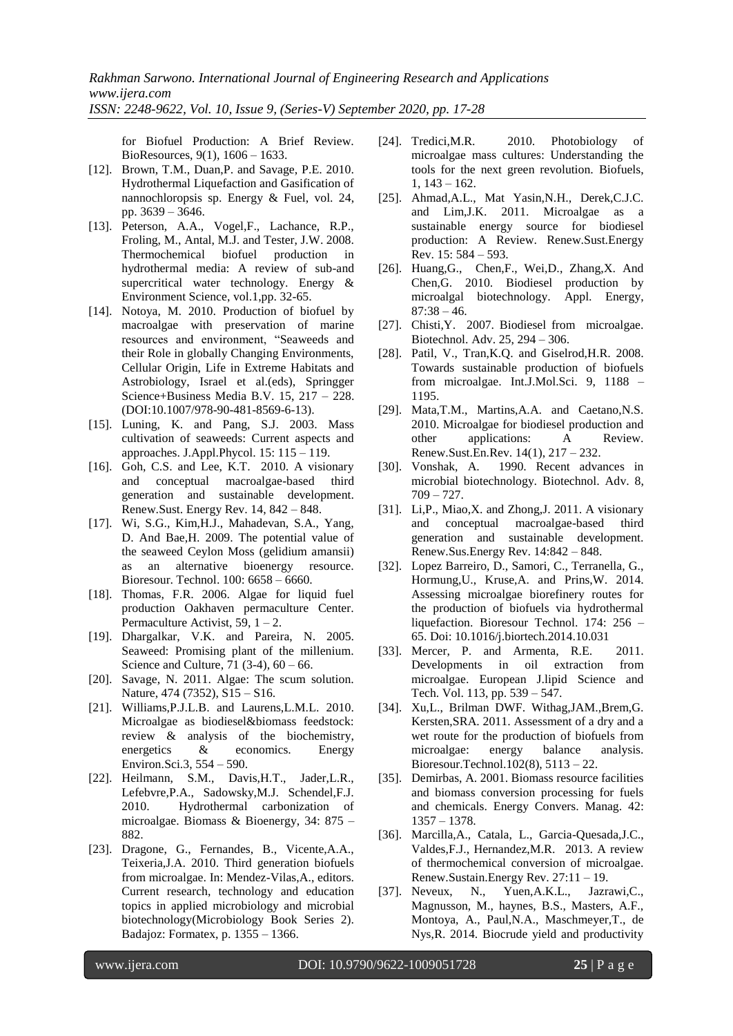for Biofuel Production: A Brief Review. BioResources, 9(1), 1606 – 1633.

- [12]. Brown, T.M., Duan,P. and Savage, P.E. 2010. Hydrothermal Liquefaction and Gasification of nannochloropsis sp. Energy & Fuel, vol. 24, pp. 3639 – 3646.
- [13]. Peterson, A.A., Vogel,F., Lachance, R.P., Froling, M., Antal, M.J. and Tester, J.W. 2008. Thermochemical biofuel production in hydrothermal media: A review of sub-and supercritical water technology. Energy & Environment Science, vol.1,pp. 32-65.
- [14]. Notoya, M. 2010. Production of biofuel by macroalgae with preservation of marine resources and environment, "Seaweeds and their Role in globally Changing Environments, Cellular Origin, Life in Extreme Habitats and Astrobiology, Israel et al.(eds), Springger Science+Business Media B.V. 15, 217 – 228. (DOI:10.1007/978-90-481-8569-6-13).
- [15]. Luning, K. and Pang, S.J. 2003. Mass cultivation of seaweeds: Current aspects and approaches. J.Appl.Phycol. 15: 115 – 119.
- [16]. Goh, C.S. and Lee, K.T. 2010. A visionary and conceptual macroalgae-based third generation and sustainable development. Renew.Sust. Energy Rev. 14, 842 – 848.
- [17]. Wi, S.G., Kim,H.J., Mahadevan, S.A., Yang, D. And Bae,H. 2009. The potential value of the seaweed Ceylon Moss (gelidium amansii) as an alternative bioenergy resource. Bioresour. Technol. 100: 6658 – 6660.
- [18]. Thomas, F.R. 2006. Algae for liquid fuel production Oakhaven permaculture Center. Permaculture Activist,  $59$ ,  $1 - 2$ .
- [19]. Dhargalkar, V.K. and Pareira, N. 2005. Seaweed: Promising plant of the millenium. Science and Culture, 71 (3-4), 60 – 66.
- [20]. Savage, N. 2011. Algae: The scum solution. Nature, 474 (7352), S15 – S16.
- [21]. Williams, P.J.L.B. and Laurens, L.M.L. 2010. Microalgae as biodiesel&biomass feedstock: review & analysis of the biochemistry, energetics & economics. Energy Environ.Sci.3, 554 – 590.
- [22]. Heilmann, S.M., Davis,H.T., Jader,L.R., Lefebvre,P.A., Sadowsky,M.J. Schendel,F.J. 2010. Hydrothermal carbonization of microalgae. Biomass & Bioenergy, 34: 875 – 882.
- [23]. Dragone, G., Fernandes, B., Vicente,A.A., Teixeria,J.A. 2010. Third generation biofuels from microalgae. In: Mendez-Vilas,A., editors. Current research, technology and education topics in applied microbiology and microbial biotechnology(Microbiology Book Series 2). Badajoz: Formatex, p. 1355 – 1366.
- [24]. Tredici, M.R. 2010. Photobiology of microalgae mass cultures: Understanding the tools for the next green revolution. Biofuels, 1, 143 – 162.
- [25]. Ahmad,A.L., Mat Yasin,N.H., Derek,C.J.C. and Lim,J.K. 2011. Microalgae as a sustainable energy source for biodiesel production: A Review. Renew.Sust.Energy Rev. 15: 584 – 593.
- [26]. Huang,G., Chen,F., Wei,D., Zhang,X. And Chen,G. 2010. Biodiesel production by microalgal biotechnology. Appl. Energy,  $87:38 - 46.$
- [27]. Chisti,Y. 2007. Biodiesel from microalgae. Biotechnol. Adv. 25, 294 – 306.
- [28]. Patil, V., Tran,K.Q. and Giselrod,H.R. 2008. Towards sustainable production of biofuels from microalgae. Int.J.Mol.Sci. 9, 1188 – 1195.
- [29]. Mata,T.M., Martins,A.A. and Caetano,N.S. 2010. Microalgae for biodiesel production and other applications: A Review. Renew.Sust.En.Rev. 14(1), 217 – 232.
- [30]. Vonshak, A. 1990. Recent advances in microbial biotechnology. Biotechnol. Adv. 8, 709 – 727.
- [31]. Li,P., Miao,X. and Zhong,J. 2011. A visionary and conceptual macroalgae-based third generation and sustainable development. Renew.Sus.Energy Rev. 14:842 – 848.
- [32]. Lopez Barreiro, D., Samori, C., Terranella, G., Hormung,U., Kruse,A. and Prins,W. 2014. Assessing microalgae biorefinery routes for the production of biofuels via hydrothermal liquefaction. Bioresour Technol. 174: 256 – 65. Doi: 10.1016/j.biortech.2014.10.031
- [33]. Mercer, P. and Armenta, R.E. 2011. Developments in oil extraction from microalgae. European J.lipid Science and Tech. Vol. 113, pp. 539 – 547.
- [34]. Xu,L., Brilman DWF. Withag, JAM., Brem, G. Kersten,SRA. 2011. Assessment of a dry and a wet route for the production of biofuels from microalgae: energy balance analysis. Bioresour.Technol.102(8), 5113 – 22.
- [35]. Demirbas, A. 2001. Biomass resource facilities and biomass conversion processing for fuels and chemicals. Energy Convers. Manag. 42: 1357 – 1378.
- [36]. Marcilla,A., Catala, L., Garcia-Quesada,J.C., Valdes,F.J., Hernandez,M.R. 2013. A review of thermochemical conversion of microalgae. Renew.Sustain.Energy Rev. 27:11 – 19.
- [37]. Neveux, N., Yuen,A.K.L., Jazrawi,C., Magnusson, M., haynes, B.S., Masters, A.F., Montoya, A., Paul,N.A., Maschmeyer,T., de Nys,R. 2014. Biocrude yield and productivity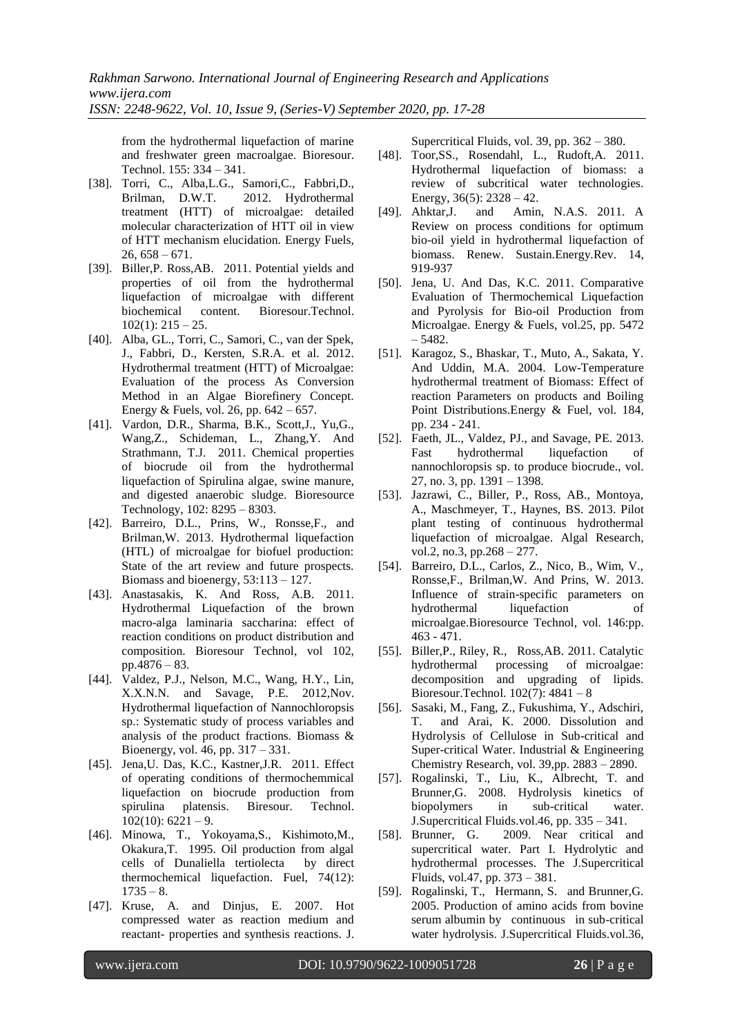from the hydrothermal liquefaction of marine and freshwater green macroalgae. Bioresour. Technol. 155: 334 – 341.

- [38]. Torri, C., Alba,L.G., Samori,C., Fabbri,D., Brilman, D.W.T. 2012. Hydrothermal treatment (HTT) of microalgae: detailed molecular characterization of HTT oil in view of HTT mechanism elucidation. Energy Fuels,  $26, 658 - 671.$
- [39]. Biller,P. Ross,AB. 2011. Potential yields and properties of oil from the hydrothermal liquefaction of microalgae with different biochemical content. Bioresour.Technol.  $102(1):$   $215 - 25$ .
- [40]. Alba, GL., Torri, C., Samori, C., van der Spek, J., Fabbri, D., Kersten, S.R.A. et al. 2012. Hydrothermal treatment (HTT) of Microalgae: Evaluation of the process As Conversion Method in an Algae Biorefinery Concept. Energy & Fuels, vol. 26, pp. 642 – 657.
- [41]. Vardon, D.R., Sharma, B.K., Scott,J., Yu,G., Wang,Z., Schideman, L., Zhang,Y. And Strathmann, T.J. 2011. Chemical properties of biocrude oil from the hydrothermal liquefaction of Spirulina algae, swine manure, and digested anaerobic sludge. Bioresource Technology, 102: 8295 – 8303.
- [42]. Barreiro, D.L., Prins, W., Ronsse,F., and Brilman,W. 2013. Hydrothermal liquefaction (HTL) of microalgae for biofuel production: State of the art review and future prospects. Biomass and bioenergy, 53:113 – 127.
- [43]. Anastasakis, K. And Ross, A.B. 2011. Hydrothermal Liquefaction of the brown macro-alga laminaria saccharina: effect of reaction conditions on product distribution and composition. Bioresour Technol, vol 102, pp.4876 – 83.
- [44]. Valdez, P.J., Nelson, M.C., Wang, H.Y., Lin, X.X.N.N. and Savage, P.E. 2012,Nov. Hydrothermal liquefaction of Nannochloropsis sp.: Systematic study of process variables and analysis of the product fractions. Biomass & Bioenergy, vol. 46, pp. 317 – 331.
- [45]. Jena,U. Das, K.C., Kastner,J.R. 2011. Effect of operating conditions of thermochemmical liquefaction on biocrude production from spirulina platensis. Biresour. Technol.  $102(10)$ : 6221 – 9.
- [46]. Minowa, T., Yokoyama,S., Kishimoto,M., Okakura,T. 1995. Oil production from algal cells of Dunaliella tertiolecta by direct thermochemical liquefaction. Fuel, 74(12):  $1735 - 8.$
- [47]. Kruse, A. and Dinjus, E. 2007. Hot compressed water as reaction medium and reactant- properties and synthesis reactions. J.

Supercritical Fluids, vol. 39, pp. 362 – 380.

- [48]. Toor,SS., Rosendahl, L., Rudoft,A. 2011. Hydrothermal liquefaction of biomass: a review of subcritical water technologies. Energy,  $36(5)$ :  $2328 - 42$ .
- [49]. Ahktar,J. and Amin, N.A.S. 2011. A Review on process conditions for optimum bio-oil yield in hydrothermal liquefaction of biomass. Renew. Sustain.Energy.Rev. 14, 919-937
- [50]. Jena, U. And Das, K.C. 2011. Comparative Evaluation of Thermochemical Liquefaction and Pyrolysis for Bio-oil Production from Microalgae. Energy & Fuels, vol.25, pp. 5472 – 5482.
- [51]. Karagoz, S., Bhaskar, T., Muto, A., Sakata, Y. And Uddin, M.A. 2004. Low-Temperature hydrothermal treatment of Biomass: Effect of reaction Parameters on products and Boiling Point Distributions.Energy & Fuel, vol. 184, pp. 234 - 241.
- [52]. Faeth, JL., Valdez, PJ., and Savage, PE. 2013. Fast hydrothermal liquefaction of nannochloropsis sp. to produce biocrude., vol. 27, no. 3, pp. 1391 – 1398.
- [53]. Jazrawi, C., Biller, P., Ross, AB., Montoya, A., Maschmeyer, T., Haynes, BS. 2013. Pilot plant testing of continuous hydrothermal liquefaction of microalgae. Algal Research, vol.2, no.3, pp.268 – 277.
- [54]. Barreiro, D.L., Carlos, Z., Nico, B., Wim, V., Ronsse,F., Brilman,W. And Prins, W. 2013. Influence of strain-specific parameters on hydrothermal liquefaction of microalgae.Bioresource Technol, vol. 146:pp. 463 - 471.
- [55]. Biller,P., Riley, R., Ross,AB. 2011. Catalytic hydrothermal processing of microalgae: decomposition and upgrading of lipids. Bioresour.Technol. 102(7): 4841 – 8
- [56]. Sasaki, M., Fang, Z., Fukushima, Y., Adschiri, T. and Arai, K. 2000. Dissolution and Hydrolysis of Cellulose in Sub-critical and Super-critical Water. Industrial & Engineering Chemistry Research, vol. 39,pp. 2883 – 2890.
- [57]. Rogalinski, T., Liu, K., Albrecht, T. and Brunner,G. 2008. Hydrolysis kinetics of biopolymers in sub-critical water. J.Supercritical Fluids.vol.46, pp. 335 – 341.
- [58]. Brunner, G. 2009. Near critical and supercritical water. Part I. Hydrolytic and hydrothermal processes. The J.Supercritical Fluids, vol.47, pp. 373 – 381.
- [59]. Rogalinski, T., Hermann, S. and Brunner,G. 2005. Production of amino acids from bovine serum albumin by continuous in sub-critical water hydrolysis. J.Supercritical Fluids.vol.36,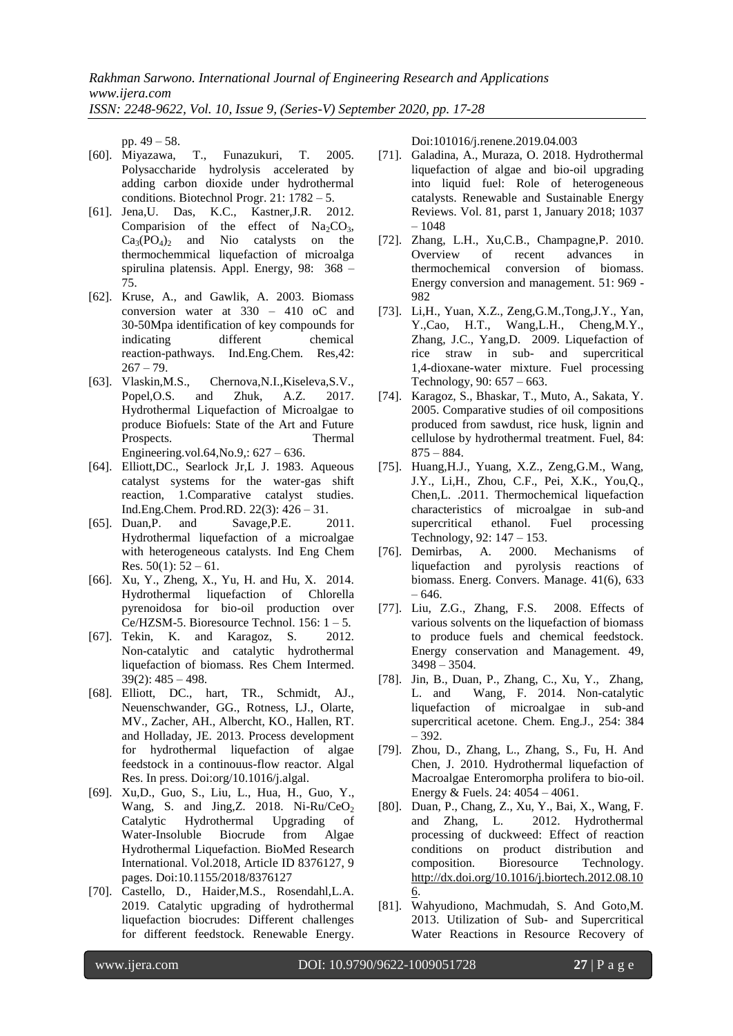pp. 49 – 58.

- [60]. Miyazawa, T., Funazukuri, T. 2005. Polysaccharide hydrolysis accelerated by adding carbon dioxide under hydrothermal conditions. Biotechnol Progr. 21: 1782 – 5.
- [61]. Jena,U. Das, K.C., Kastner,J.R. 2012. Comparision of the effect of  $Na_2CO_3$ ,  $Ca_3(PO_4)$  and Nio catalysts on the thermochemmical liquefaction of microalga spirulina platensis. Appl. Energy, 98: 368 – 75.
- [62]. Kruse, A., and Gawlik, A. 2003. Biomass conversion water at 330 – 410 oC and 30-50Mpa identification of key compounds for indicating different chemical reaction-pathways. Ind.Eng.Chem. Res,42:  $267 - 79.$
- [63]. Vlaskin,M.S., Chernova,N.I.,Kiseleva,S.V., Popel,O.S. and Zhuk, A.Z. 2017. Hydrothermal Liquefaction of Microalgae to produce Biofuels: State of the Art and Future Prospects. Thermal Engineering.vol.64,No.9,: 627 – 636.
- [64]. Elliott,DC., Searlock Jr,L J. 1983. Aqueous catalyst systems for the water-gas shift reaction, 1.Comparative catalyst studies. Ind.Eng.Chem. Prod.RD. 22(3): 426 – 31.
- [65]. Duan,P. and Savage,P.E. 2011. Hydrothermal liquefaction of a microalgae with heterogeneous catalysts. Ind Eng Chem Res.  $50(1)$ :  $52 - 61$ .
- [66]. Xu, Y., Zheng, X., Yu, H. and Hu, X. 2014. Hydrothermal liquefaction of Chlorella pyrenoidosa for bio-oil production over Ce/HZSM-5. Bioresource Technol.  $156: 1 - 5$ .
- [67]. Tekin, K. and Karagoz, S. 2012. Non-catalytic and catalytic hydrothermal liquefaction of biomass. Res Chem Intermed. 39(2): 485 – 498.
- [68]. Elliott, DC., hart, TR., Schmidt, AJ., Neuenschwander, GG., Rotness, LJ., Olarte, MV., Zacher, AH., Albercht, KO., Hallen, RT. and Holladay, JE. 2013. Process development for hydrothermal liquefaction of algae feedstock in a continouus-flow reactor. Algal Res. In press. Doi:org/10.1016/j.algal.
- [69]. Xu,D., Guo, S., Liu, L., Hua, H., Guo, Y., Wang, S. and Jing, Z. 2018. Ni-Ru/CeO<sub>2</sub> Catalytic Hydrothermal Upgrading of Water-Insoluble Biocrude from Algae Hydrothermal Liquefaction. BioMed Research International. Vol.2018, Article ID 8376127, 9 pages. Doi:10.1155/2018/8376127
- [70]. Castello, D., Haider,M.S., Rosendahl,L.A. 2019. Catalytic upgrading of hydrothermal liquefaction biocrudes: Different challenges for different feedstock. Renewable Energy.

Doi:101016/j.renene.2019.04.003

- [71]. Galadina, A., Muraza, O. 2018. Hydrothermal liquefaction of algae and bio-oil upgrading into liquid fuel: Role of heterogeneous catalysts. Renewable and Sustainable Energy Reviews. Vol. 81, parst 1, January 2018; 1037  $-1048$
- [72]. Zhang, L.H., Xu,C.B., Champagne,P. 2010. Overview of recent advances in thermochemical conversion of biomass. Energy conversion and management. 51: 969 - 982
- [73]. Li,H., Yuan, X.Z., Zeng,G.M.,Tong,J.Y., Yan, Y.,Cao, H.T., Wang,L.H., Cheng,M.Y., Zhang, J.C., Yang,D. 2009. Liquefaction of rice straw in sub- and supercritical 1,4-dioxane-water mixture. Fuel processing Technology, 90: 657 – 663.
- [74]. Karagoz, S., Bhaskar, T., Muto, A., Sakata, Y. 2005. Comparative studies of oil compositions produced from sawdust, rice husk, lignin and cellulose by hydrothermal treatment. Fuel, 84:  $875 - 884.$
- [75]. Huang,H.J., Yuang, X.Z., Zeng,G.M., Wang, J.Y., Li,H., Zhou, C.F., Pei, X.K., You,Q., Chen,L. .2011. Thermochemical liquefaction characteristics of microalgae in sub-and supercritical ethanol. Fuel processing Technology, 92: 147 – 153.
- [76]. Demirbas, A. 2000. Mechanisms of liquefaction and pyrolysis reactions of biomass. Energ. Convers. Manage. 41(6), 633 – 646.
- [77]. Liu, Z.G., Zhang, F.S. 2008. Effects of various solvents on the liquefaction of biomass to produce fuels and chemical feedstock. Energy conservation and Management. 49, 3498 – 3504.
- [78]. Jin, B., Duan, P., Zhang, C., Xu, Y., Zhang, L. and Wang, F. 2014. Non-catalytic liquefaction of microalgae in sub-and supercritical acetone. Chem. Eng.J., 254: 384 – 392.
- [79]. Zhou, D., Zhang, L., Zhang, S., Fu, H. And Chen, J. 2010. Hydrothermal liquefaction of Macroalgae Enteromorpha prolifera to bio-oil. Energy & Fuels. 24: 4054 – 4061.
- [80]. Duan, P., Chang, Z., Xu, Y., Bai, X., Wang, F. and Zhang, L. 2012. Hydrothermal processing of duckweed: Effect of reaction conditions on product distribution and composition. Bioresource Technology. [http://dx.doi.org/10.1016/j.biortech.2012.08.10](http://dx.doi.org/10.1016/j.biortech.2012.08.106) [6.](http://dx.doi.org/10.1016/j.biortech.2012.08.106)
- [81]. Wahyudiono, Machmudah, S. And Goto,M. 2013. Utilization of Sub- and Supercritical Water Reactions in Resource Recovery of